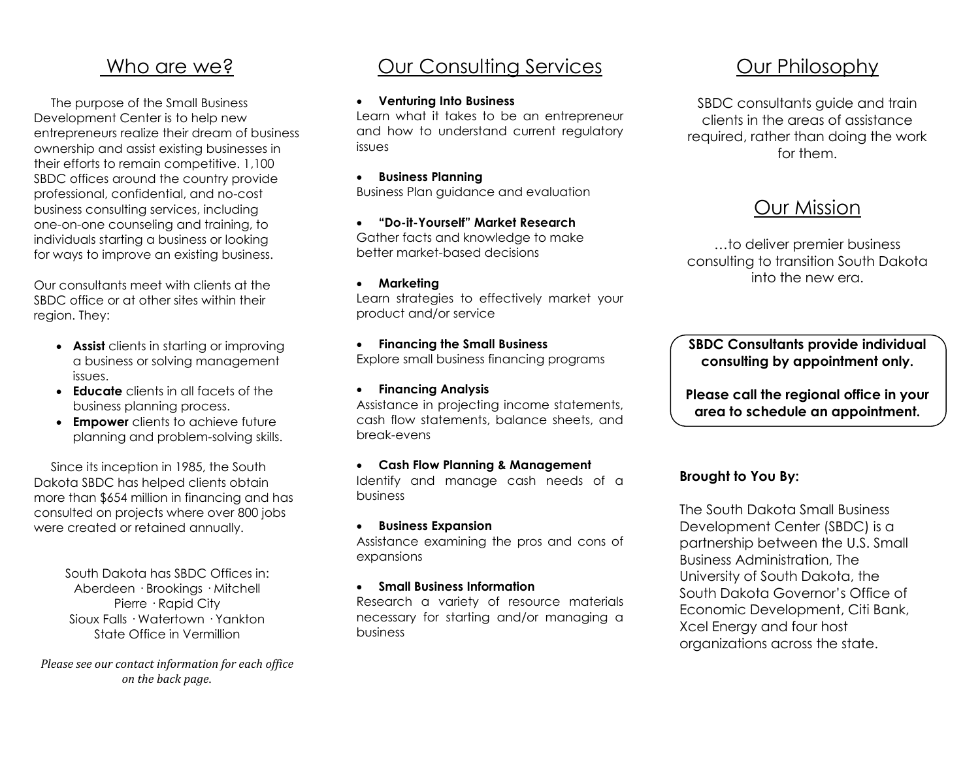### Who are we?

 The purpose of the Small Business Development Center is to help new entrepreneurs realize their dream of business ownership and assist existing businesses in their efforts to remain competitive. 1,100 SBDC offices around the country provide professional, confidential, and no-cost business consulting services, including one-on-one counseling and training, to individuals starting a business or looking for ways to improve an existing business.

Our consultants meet with clients at the SBDC office or at other sites within their region. They:

- **Assist** clients in starting or improving a business or solving management issues.
- **Educate** clients in all facets of the business planning process.
- **Empower** clients to achieve future planning and problem-solving skills.

 Since its inception in 1985, the South Dakota SBDC has helped clients obtain more than \$654 million in financing and has consulted on projects where over 800 jobs were created or retained annually.

> South Dakota has SBDC Offices in: Aberdeen · Brookings · Mitchell Pierre · Rapid City Sioux Falls · Watertown · Yankton State Office in Vermillion

*Please see our contact information for each office on the back page.*

## Our Consulting Services

#### **Venturing Into Business**

Learn what it takes to be an entrepreneur and how to understand current regulatory issues

 **Business Planning** Business Plan guidance and evaluation

**"Do-it-Yourself" Market Research**

Gather facts and knowledge to make better market-based decisions

**Marketing**

Learn strategies to effectively market your product and/or service

#### **Financing the Small Business** Explore small business financing programs

**Financing Analysis**

Assistance in projecting income statements, cash flow statements, balance sheets, and break-evens

### **Cash Flow Planning & Management**

Identify and manage cash needs of a business

#### **Business Expansion**

Assistance examining the pros and cons of expansions

#### **Small Business Information**

Research a variety of resource materials necessary for starting and/or managing a business

## Our Philosophy

SBDC consultants guide and train clients in the areas of assistance required, rather than doing the work for them.

## Our Mission

…to deliver premier business consulting to transition South Dakota into the new era.

**SBDC Consultants provide individual consulting by appointment only.**

**Please call the regional office in your area to schedule an appointment.**

### **Brought to You By:**

The South Dakota Small Business Development Center (SBDC) is a partnership between the U.S. Small Business Administration, The University of South Dakota, the South Dakota Governor's Office of Economic Development, Citi Bank, Xcel Energy and four host organizations across the state.